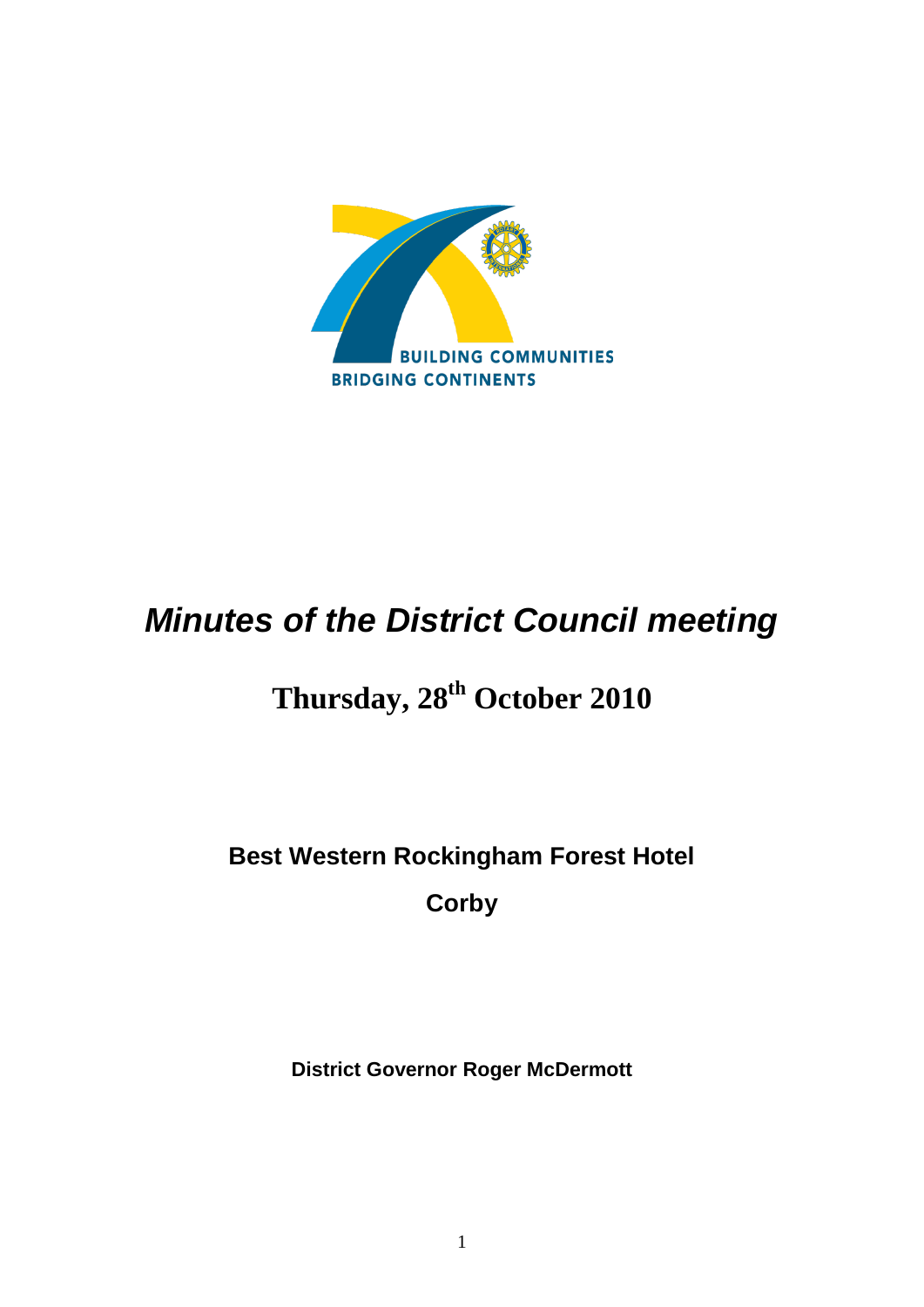

# *Minutes of the District Council meeting*

# **Thursday, 28th October 2010**

# **Best Western Rockingham Forest Hotel Corby**

**District Governor Roger McDermott**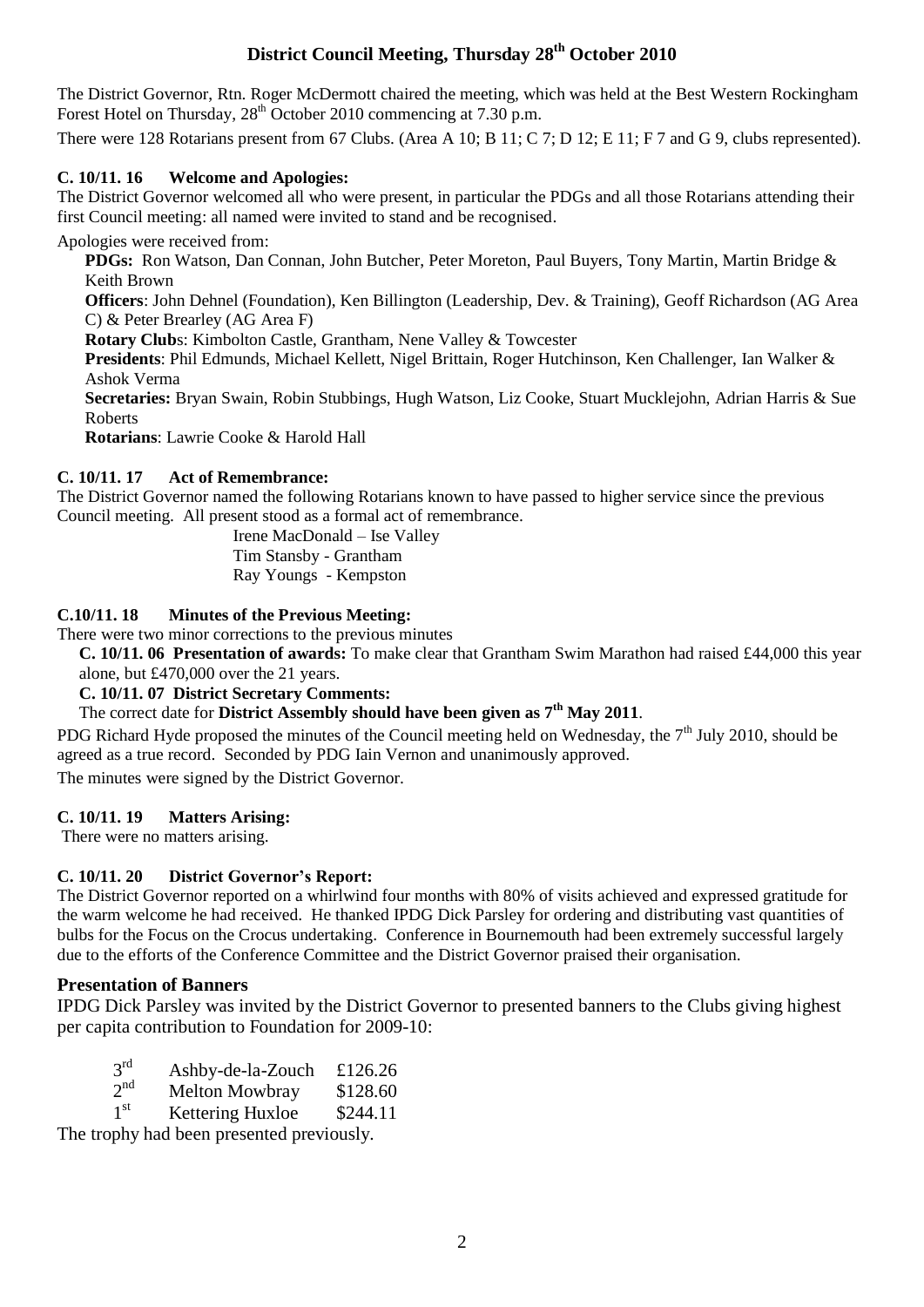# **District Council Meeting, Thursday 28th October 2010**

The District Governor, Rtn. Roger McDermott chaired the meeting, which was held at the Best Western Rockingham Forest Hotel on Thursday,  $28<sup>th</sup>$  October 2010 commencing at 7.30 p.m.

There were 128 Rotarians present from 67 Clubs. (Area A 10; B 11; C 7; D 12; E 11; F 7 and G 9, clubs represented).

## **C. 10/11. 16 Welcome and Apologies:**

The District Governor welcomed all who were present, in particular the PDGs and all those Rotarians attending their first Council meeting: all named were invited to stand and be recognised.

Apologies were received from:

**PDGs:** Ron Watson, Dan Connan, John Butcher, Peter Moreton, Paul Buyers, Tony Martin, Martin Bridge & Keith Brown

**Officers**: John Dehnel (Foundation), Ken Billington (Leadership, Dev. & Training), Geoff Richardson (AG Area C) & Peter Brearley (AG Area F)

**Rotary Club**s: Kimbolton Castle, Grantham, Nene Valley & Towcester

**Presidents**: Phil Edmunds, Michael Kellett, Nigel Brittain, Roger Hutchinson, Ken Challenger, Ian Walker & Ashok Verma

**Secretaries:** Bryan Swain, Robin Stubbings, Hugh Watson, Liz Cooke, Stuart Mucklejohn, Adrian Harris & Sue Roberts

**Rotarians**: Lawrie Cooke & Harold Hall

## **C. 10/11. 17 Act of Remembrance:**

The District Governor named the following Rotarians known to have passed to higher service since the previous Council meeting. All present stood as a formal act of remembrance.

Irene MacDonald – Ise Valley

Tim Stansby - Grantham

Ray Youngs - Kempston

## **C.10/11. 18 Minutes of the Previous Meeting:**

There were two minor corrections to the previous minutes

**C. 10/11. 06 Presentation of awards:** To make clear that Grantham Swim Marathon had raised £44,000 this year alone, but £470,000 over the 21 years.

## **C. 10/11. 07 District Secretary Comments:**

# The correct date for **District Assembly should have been given as 7th May 2011**.

PDG Richard Hyde proposed the minutes of the Council meeting held on Wednesday, the 7<sup>th</sup> July 2010, should be agreed as a true record. Seconded by PDG Iain Vernon and unanimously approved. The minutes were signed by the District Governor.

#### **C. 10/11. 19 Matters Arising:**

There were no matters arising.

#### **C. 10/11. 20 District Governor's Report:**

The District Governor reported on a whirlwind four months with 80% of visits achieved and expressed gratitude for the warm welcome he had received. He thanked IPDG Dick Parsley for ordering and distributing vast quantities of bulbs for the Focus on the Crocus undertaking. Conference in Bournemouth had been extremely successful largely due to the efforts of the Conference Committee and the District Governor praised their organisation.

#### **Presentation of Banners**

IPDG Dick Parsley was invited by the District Governor to presented banners to the Clubs giving highest per capita contribution to Foundation for 2009-10:

| $3^{\text{rd}}$ | Ashby-de-la-Zouch | £126.26 |
|-----------------|-------------------|---------|
|                 |                   |         |

- $2<sup>nd</sup>$ Melton Mowbray \$128.60
- $1<sup>st</sup>$ Kettering Huxloe \$244.11

The trophy had been presented previously.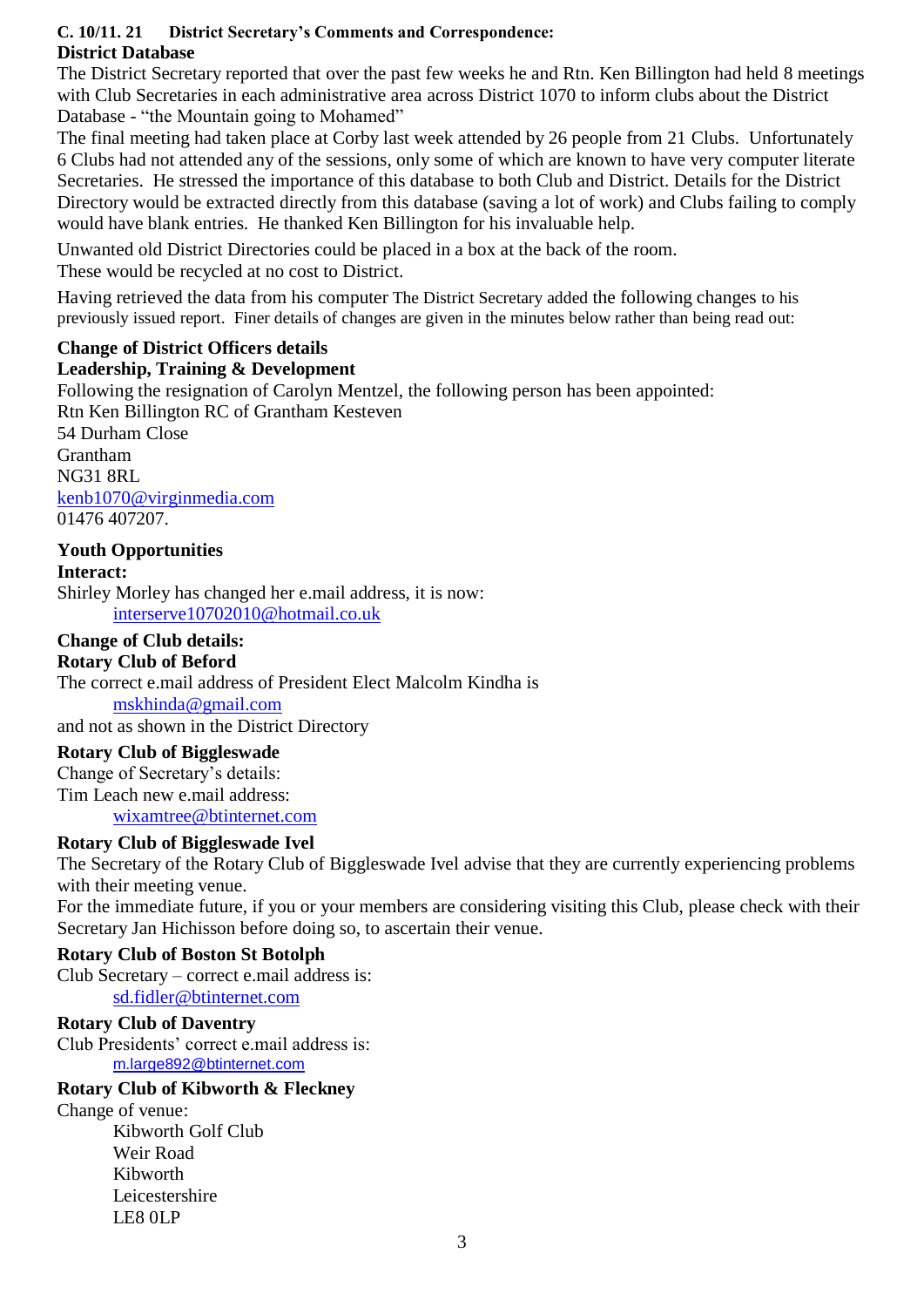## **C. 10/11. 21 District Secretary's Comments and Correspondence: District Database**

The District Secretary reported that over the past few weeks he and Rtn. Ken Billington had held 8 meetings with Club Secretaries in each administrative area across District 1070 to inform clubs about the District Database - "the Mountain going to Mohamed"

The final meeting had taken place at Corby last week attended by 26 people from 21 Clubs. Unfortunately 6 Clubs had not attended any of the sessions, only some of which are known to have very computer literate Secretaries. He stressed the importance of this database to both Club and District. Details for the District Directory would be extracted directly from this database (saving a lot of work) and Clubs failing to comply would have blank entries. He thanked Ken Billington for his invaluable help.

Unwanted old District Directories could be placed in a box at the back of the room. These would be recycled at no cost to District.

Having retrieved the data from his computer The District Secretary added the following changes to his previously issued report. Finer details of changes are given in the minutes below rather than being read out:

## **Change of District Officers details**

## **Leadership, Training & Development**

Following the resignation of Carolyn Mentzel, the following person has been appointed: Rtn Ken Billington RC of Grantham Kesteven 54 Durham Close Grantham NG31 8RL [kenb1070@virginmedia.com](mailto:kenb1070@virginmedia.com) 01476 407207.

## **Youth Opportunities**

**Interact:** Shirley Morley has changed her e.mail address, it is now: [interserve10702010@hotmail.co.uk](mailto:interserve10702010@hotmail.co.uk)

## **Change of Club details:**

**Rotary Club of Beford** The correct e.mail address of President Elect Malcolm Kindha is [mskhinda@gmail.com](mailto:mskhinda@gmail.com)

and not as shown in the District Directory

#### **Rotary Club of Biggleswade**

Change of Secretary's details: Tim Leach new e.mail address:

[wixamtree@btinternet.com](mailto:wixamtree@btinternet.com)

## **Rotary Club of Biggleswade Ivel**

The Secretary of the Rotary Club of Biggleswade Ivel advise that they are currently experiencing problems with their meeting venue.

For the immediate future, if you or your members are considering visiting this Club, please check with their Secretary Jan Hichisson before doing so, to ascertain their venue.

#### **Rotary Club of Boston St Botolph**

Club Secretary – correct e.mail address is: [sd.fidler@btinternet.com](mailto:sd.fidler@btinternet.com)

#### **Rotary Club of Daventry**

Club Presidents' correct e.mail address is: [m.large892@btinternet.com](mailto:m.large892@btinternet.com)

### **Rotary Club of Kibworth & Fleckney**

Change of venue: Kibworth Golf Club Weir Road Kibworth Leicestershire LE8 0LP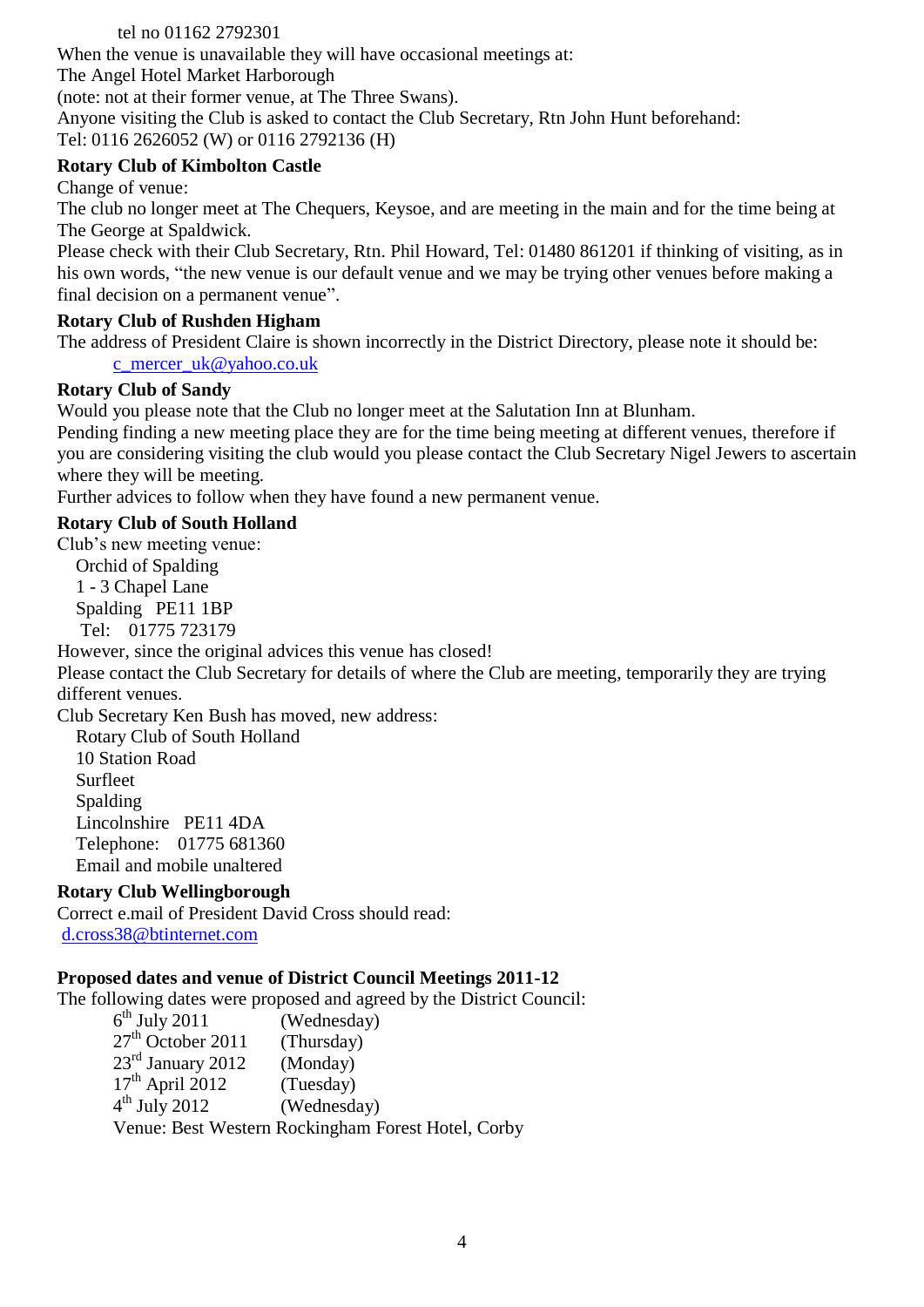## tel no 01162 2792301

When the venue is unavailable they will have occasional meetings at:

The Angel Hotel Market Harborough

(note: not at their former venue, at The Three Swans).

Anyone visiting the Club is asked to contact the Club Secretary, Rtn John Hunt beforehand: Tel: 0116 2626052 (W) or 0116 2792136 (H)

## **Rotary Club of Kimbolton Castle**

Change of venue:

The club no longer meet at The Chequers, Keysoe, and are meeting in the main and for the time being at The George at Spaldwick.

Please check with their Club Secretary, Rtn. Phil Howard, Tel: 01480 861201 if thinking of visiting, as in his own words, "the new venue is our default venue and we may be trying other venues before making a final decision on a permanent venue".

## **Rotary Club of Rushden Higham**

The address of President Claire is shown incorrectly in the District Directory, please note it should be: [c\\_mercer\\_uk@yahoo.co.uk](mailto:c_mercer_uk@yahoo.co.uk)

## **Rotary Club of Sandy**

Would you please note that the Club no longer meet at the Salutation Inn at Blunham.

Pending finding a new meeting place they are for the time being meeting at different venues, therefore if you are considering visiting the club would you please contact the Club Secretary Nigel Jewers to ascertain where they will be meeting.

Further advices to follow when they have found a new permanent venue.

## **Rotary Club of South Holland**

Club's new meeting venue:

 Orchid of Spalding 1 - 3 Chapel Lane Spalding PE11 1BP Tel: 01775 723179

However, since the original advices this venue has closed!

Please contact the Club Secretary for details of where the Club are meeting, temporarily they are trying different venues.

Club Secretary Ken Bush has moved, new address:

 Rotary Club of South Holland 10 Station Road Surfleet Spalding Lincolnshire PE11 4DA Telephone: 01775 681360 Email and mobile unaltered

## **Rotary Club Wellingborough**

Correct e.mail of President David Cross should read: [d.cross38@btinternet.com](mailto:d.cross38@btinternet.com)

## **Proposed dates and venue of District Council Meetings 2011-12**

The following dates were proposed and agreed by the District Council:

6<sup>th</sup> July 2011 (Wednesday)  $27<sup>th</sup>$  October 2011 (Thursday)  $23<sup>rd</sup>$  January 2012 (Monday)  $17<sup>th</sup>$  April 2012 (Tuesday) 4 th July 2012 (Wednesday) Venue: Best Western Rockingham Forest Hotel, Corby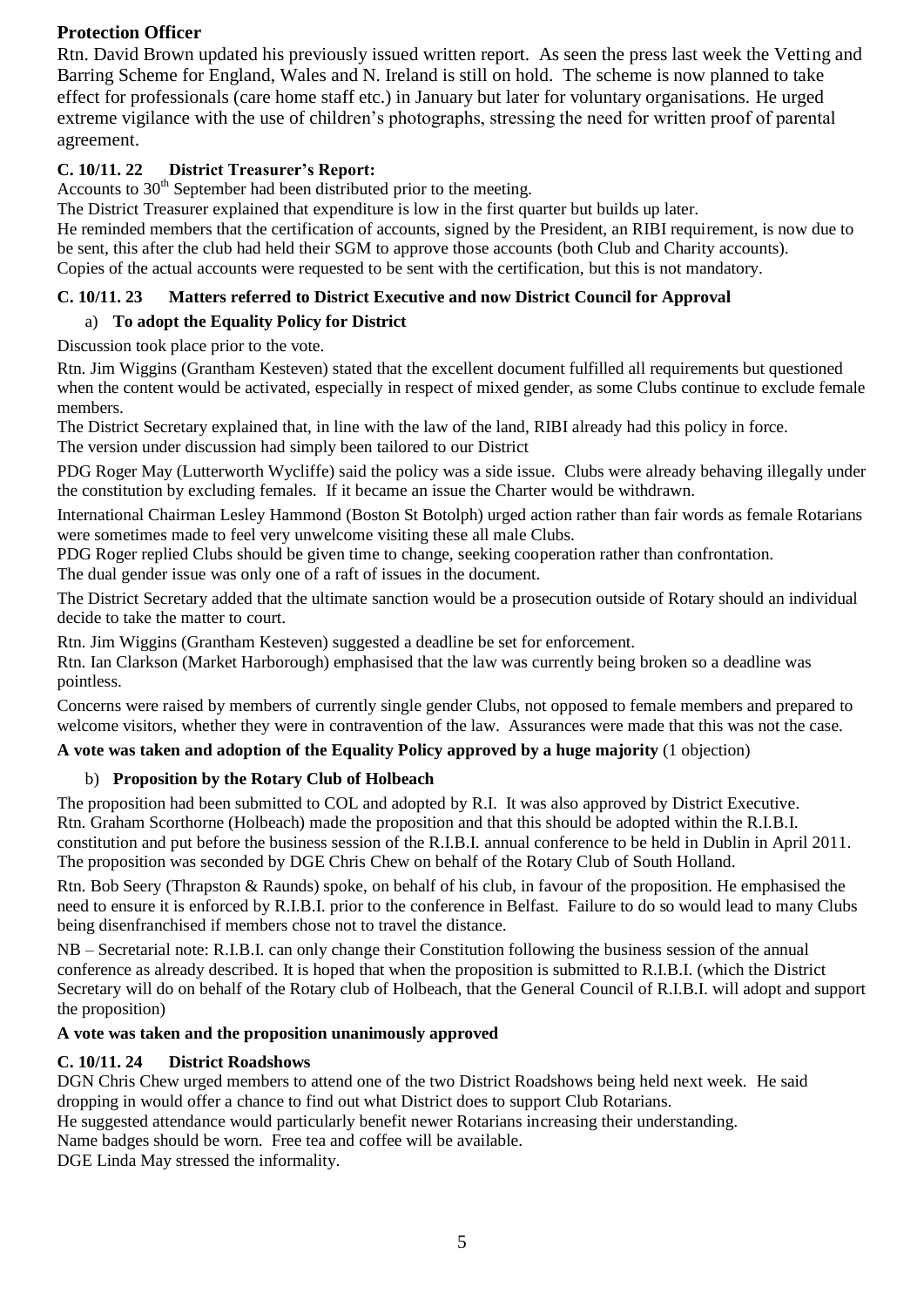## **Protection Officer**

Rtn. David Brown updated his previously issued written report. As seen the press last week the Vetting and Barring Scheme for England, Wales and N. Ireland is still on hold. The scheme is now planned to take effect for professionals (care home staff etc.) in January but later for voluntary organisations. He urged extreme vigilance with the use of children's photographs, stressing the need for written proof of parental agreement.

## **C. 10/11. 22 District Treasurer's Report:**

Accounts to  $30<sup>th</sup>$  September had been distributed prior to the meeting.

The District Treasurer explained that expenditure is low in the first quarter but builds up later.

He reminded members that the certification of accounts, signed by the President, an RIBI requirement, is now due to be sent, this after the club had held their SGM to approve those accounts (both Club and Charity accounts). Copies of the actual accounts were requested to be sent with the certification, but this is not mandatory.

## **C. 10/11. 23 Matters referred to District Executive and now District Council for Approval**

## a) **To adopt the Equality Policy for District**

Discussion took place prior to the vote.

Rtn. Jim Wiggins (Grantham Kesteven) stated that the excellent document fulfilled all requirements but questioned when the content would be activated, especially in respect of mixed gender, as some Clubs continue to exclude female members.

The District Secretary explained that, in line with the law of the land, RIBI already had this policy in force. The version under discussion had simply been tailored to our District

PDG Roger May (Lutterworth Wycliffe) said the policy was a side issue. Clubs were already behaving illegally under the constitution by excluding females. If it became an issue the Charter would be withdrawn.

International Chairman Lesley Hammond (Boston St Botolph) urged action rather than fair words as female Rotarians were sometimes made to feel very unwelcome visiting these all male Clubs.

PDG Roger replied Clubs should be given time to change, seeking cooperation rather than confrontation. The dual gender issue was only one of a raft of issues in the document.

The District Secretary added that the ultimate sanction would be a prosecution outside of Rotary should an individual decide to take the matter to court.

Rtn. Jim Wiggins (Grantham Kesteven) suggested a deadline be set for enforcement. Rtn. Ian Clarkson (Market Harborough) emphasised that the law was currently being broken so a deadline was pointless.

Concerns were raised by members of currently single gender Clubs, not opposed to female members and prepared to welcome visitors, whether they were in contravention of the law. Assurances were made that this was not the case.

## **A vote was taken and adoption of the Equality Policy approved by a huge majority** (1 objection)

## b) **Proposition by the Rotary Club of Holbeach**

The proposition had been submitted to COL and adopted by R.I. It was also approved by District Executive. Rtn. Graham Scorthorne (Holbeach) made the proposition and that this should be adopted within the R.I.B.I. constitution and put before the business session of the R.I.B.I. annual conference to be held in Dublin in April 2011. The proposition was seconded by DGE Chris Chew on behalf of the Rotary Club of South Holland.

Rtn. Bob Seery (Thrapston & Raunds) spoke, on behalf of his club, in favour of the proposition. He emphasised the need to ensure it is enforced by R.I.B.I. prior to the conference in Belfast. Failure to do so would lead to many Clubs being disenfranchised if members chose not to travel the distance.

NB – Secretarial note: R.I.B.I. can only change their Constitution following the business session of the annual conference as already described. It is hoped that when the proposition is submitted to R.I.B.I. (which the District Secretary will do on behalf of the Rotary club of Holbeach, that the General Council of R.I.B.I. will adopt and support the proposition)

#### **A vote was taken and the proposition unanimously approved**

## **C. 10/11. 24 District Roadshows**

DGN Chris Chew urged members to attend one of the two District Roadshows being held next week. He said dropping in would offer a chance to find out what District does to support Club Rotarians.

He suggested attendance would particularly benefit newer Rotarians increasing their understanding.

Name badges should be worn. Free tea and coffee will be available.

DGE Linda May stressed the informality.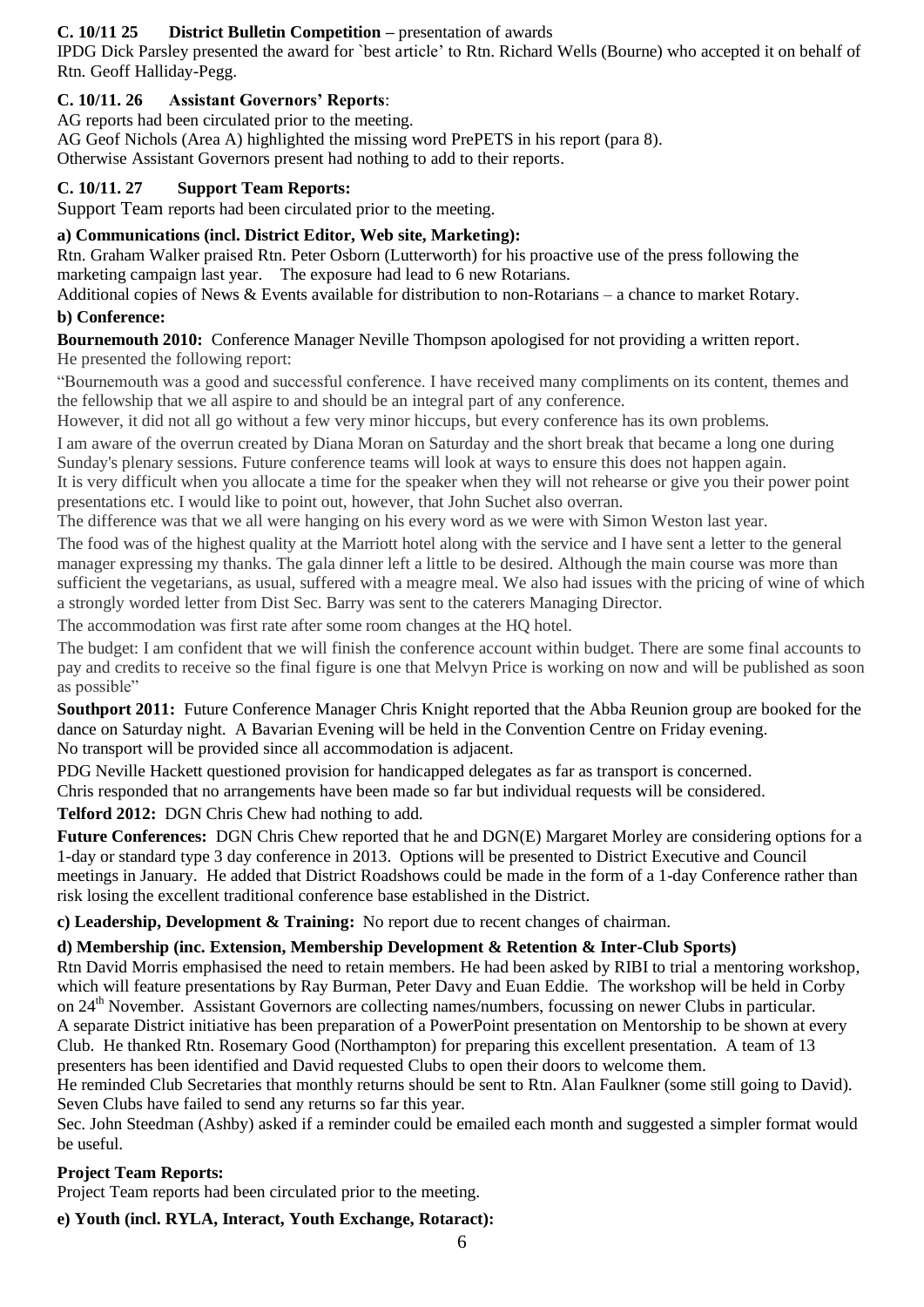## **C. 10/11 25 District Bulletin Competition –** presentation of awards

IPDG Dick Parsley presented the award for `best article' to Rtn. Richard Wells (Bourne) who accepted it on behalf of Rtn. Geoff Halliday-Pegg.

## **C. 10/11. 26 Assistant Governors' Reports**:

AG reports had been circulated prior to the meeting.

AG Geof Nichols (Area A) highlighted the missing word PrePETS in his report (para 8). Otherwise Assistant Governors present had nothing to add to their reports.

## **C. 10/11. 27 Support Team Reports:**

Support Team reports had been circulated prior to the meeting.

### **a) Communications (incl. District Editor, Web site, Marketing):**

Rtn. Graham Walker praised Rtn. Peter Osborn (Lutterworth) for his proactive use of the press following the marketing campaign last year. The exposure had lead to 6 new Rotarians.

Additional copies of News & Events available for distribution to non-Rotarians – a chance to market Rotary.

## **b) Conference:**

**Bournemouth 2010:** Conference Manager Neville Thompson apologised for not providing a written report.

He presented the following report:

"Bournemouth was a good and successful conference. I have received many compliments on its content, themes and the fellowship that we all aspire to and should be an integral part of any conference.

However, it did not all go without a few very minor hiccups, but every conference has its own problems.

I am aware of the overrun created by Diana Moran on Saturday and the short break that became a long one during Sunday's plenary sessions. Future conference teams will look at ways to ensure this does not happen again.

It is very difficult when you allocate a time for the speaker when they will not rehearse or give you their power point presentations etc. I would like to point out, however, that John Suchet also overran.

The difference was that we all were hanging on his every word as we were with Simon Weston last year.

The food was of the highest quality at the Marriott hotel along with the service and I have sent a letter to the general manager expressing my thanks. The gala dinner left a little to be desired. Although the main course was more than sufficient the vegetarians, as usual, suffered with a meagre meal. We also had issues with the pricing of wine of which a strongly worded letter from Dist Sec. Barry was sent to the caterers Managing Director.

The accommodation was first rate after some room changes at the HQ hotel.

The budget: I am confident that we will finish the conference account within budget. There are some final accounts to pay and credits to receive so the final figure is one that Melvyn Price is working on now and will be published as soon as possible"

**Southport 2011:** Future Conference Manager Chris Knight reported that the Abba Reunion group are booked for the dance on Saturday night. A Bavarian Evening will be held in the Convention Centre on Friday evening. No transport will be provided since all accommodation is adjacent.

PDG Neville Hackett questioned provision for handicapped delegates as far as transport is concerned.

Chris responded that no arrangements have been made so far but individual requests will be considered.

**Telford 2012:** DGN Chris Chew had nothing to add.

**Future Conferences:** DGN Chris Chew reported that he and DGN(E) Margaret Morley are considering options for a 1-day or standard type 3 day conference in 2013. Options will be presented to District Executive and Council meetings in January. He added that District Roadshows could be made in the form of a 1-day Conference rather than risk losing the excellent traditional conference base established in the District.

**c) Leadership, Development & Training:** No report due to recent changes of chairman.

#### **d) Membership (inc. Extension, Membership Development & Retention & Inter-Club Sports)**

Rtn David Morris emphasised the need to retain members. He had been asked by RIBI to trial a mentoring workshop, which will feature presentations by Ray Burman, Peter Davy and Euan Eddie. The workshop will be held in Corby on 24th November. Assistant Governors are collecting names/numbers, focussing on newer Clubs in particular. A separate District initiative has been preparation of a PowerPoint presentation on Mentorship to be shown at every Club. He thanked Rtn. Rosemary Good (Northampton) for preparing this excellent presentation. A team of 13 presenters has been identified and David requested Clubs to open their doors to welcome them.

He reminded Club Secretaries that monthly returns should be sent to Rtn. Alan Faulkner (some still going to David). Seven Clubs have failed to send any returns so far this year.

Sec. John Steedman (Ashby) asked if a reminder could be emailed each month and suggested a simpler format would be useful.

## **Project Team Reports:**

Project Team reports had been circulated prior to the meeting.

**e) Youth (incl. RYLA, Interact, Youth Exchange, Rotaract):**